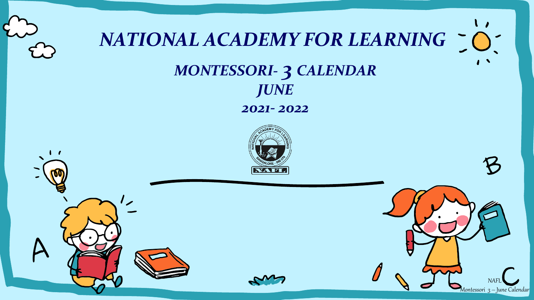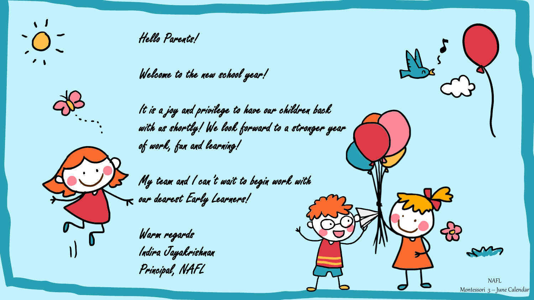

Hello Parents!

Welcome to the new school year!



It is a joy and privilege to have our children back with us shortly! We look forward to a stronger year of work, fun and learning!

My team and I can't wait to begin work with  $\bm{\kappa}$  our dearest Early Learners!

Warm regards Indira Jayakrishnan Principal, NAFL

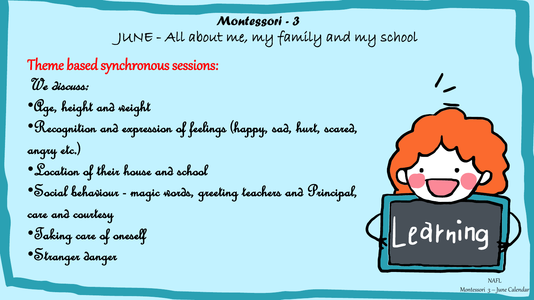## JUNE - All about me, my family and my school *Montessori - 3*

Theme based synchronous sessions: We discuss:

•Age, height and weight •Recognition and expression of feelings (happy, sad, hurt, scared, angry etc.) •Location of their house and school •Social behaviour - magic words, greeting teachers and Principal, care and courtesy

•Taking care of oneself

•Stranger danger



NAFL Montessori 3 – June Calendar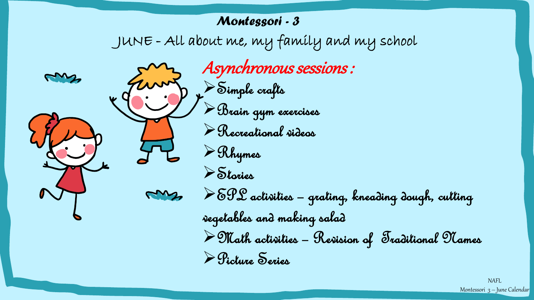## JUNE - All about me, my family and my school Asynchronous sessions : ➢Simple crafts ➢Brain gym exercises ➢Recreational videos ➢Rhymes ➢Stories ➢EPL activities – grating, kneading dough, cutting vegetables and making salad  $\blacktriangleright$  Math activities - Revision of Traditional Names ➢Picture Series *Montessori - 3*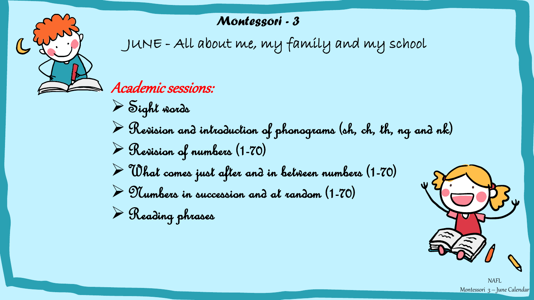## *Montessori - 3*

JUNE - All about me, my family and my school

Academic sessions:

➢Sight words  $\triangleright$  Revision and introduction of phonograms (sh, ch, th, ng and nk) ➢Revision of numbers (1-70)  $\triangleright$  Uhat comes just after and in between numbers (1-70)  $\triangleright$  Tumbers in succession and at random (1-70)

➢Reading phrases



NAFL Montessori 3 – June Calendar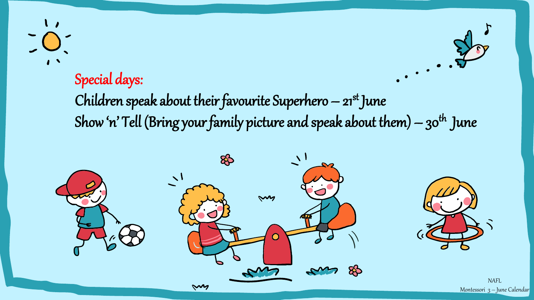## Special days:

Children speak about their favourite Superhero  $-$  21st June Show 'n' Tell (Bring your family picture and speak about them)  $-30^{th}$  June